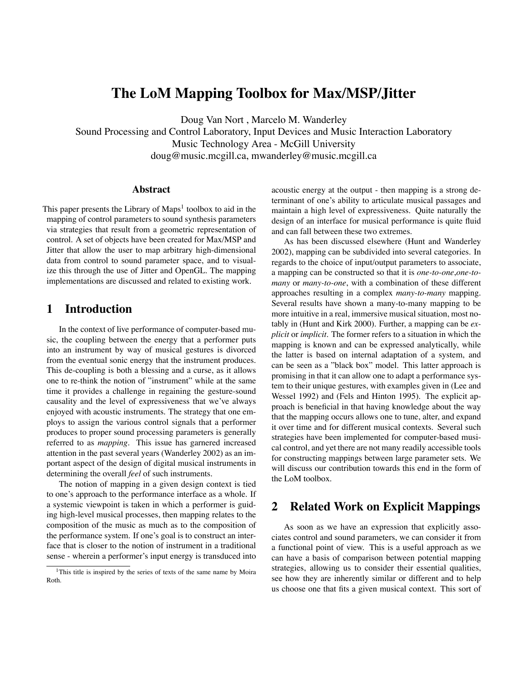# **The LoM Mapping Toolbox for Max/MSP/Jitter**

Doug Van Nort , Marcelo M. Wanderley

Sound Processing and Control Laboratory, Input Devices and Music Interaction Laboratory Music Technology Area - McGill University doug@music.mcgill.ca, mwanderley@music.mcgill.ca

### **Abstract**

This paper presents the Library of Maps<sup>1</sup> toolbox to aid in the mapping of control parameters to sound synthesis parameters via strategies that result from a geometric representation of control. A set of objects have been created for Max/MSP and Jitter that allow the user to map arbitrary high-dimensional data from control to sound parameter space, and to visualize this through the use of Jitter and OpenGL. The mapping implementations are discussed and related to existing work.

# **1 Introduction**

In the context of live performance of computer-based music, the coupling between the energy that a performer puts into an instrument by way of musical gestures is divorced from the eventual sonic energy that the instrument produces. This de-coupling is both a blessing and a curse, as it allows one to re-think the notion of "instrument" while at the same time it provides a challenge in regaining the gesture-sound causality and the level of expressiveness that we've always enjoyed with acoustic instruments. The strategy that one employs to assign the various control signals that a performer produces to proper sound processing parameters is generally referred to as *mapping*. This issue has garnered increased attention in the past several years (Wanderley 2002) as an important aspect of the design of digital musical instruments in determining the overall *feel* of such instruments.

The notion of mapping in a given design context is tied to one's approach to the performance interface as a whole. If a systemic viewpoint is taken in which a performer is guiding high-level musical processes, then mapping relates to the composition of the music as much as to the composition of the performance system. If one's goal is to construct an interface that is closer to the notion of instrument in a traditional sense - wherein a performer's input energy is transduced into acoustic energy at the output - then mapping is a strong determinant of one's ability to articulate musical passages and maintain a high level of expressiveness. Quite naturally the design of an interface for musical performance is quite fluid and can fall between these two extremes.

As has been discussed elsewhere (Hunt and Wanderley 2002), mapping can be subdivided into several categories. In regards to the choice of input/output parameters to associate, a mapping can be constructed so that it is *one-to-one*,*one-tomany* or *many-to-one*, with a combination of these different approaches resulting in a complex *many-to-many* mapping. Several results have shown a many-to-many mapping to be more intuitive in a real, immersive musical situation, most notably in (Hunt and Kirk 2000). Further, a mapping can be *explicit* or *implicit*. The former refers to a situation in which the mapping is known and can be expressed analytically, while the latter is based on internal adaptation of a system, and can be seen as a "black box" model. This latter approach is promising in that it can allow one to adapt a performance system to their unique gestures, with examples given in (Lee and Wessel 1992) and (Fels and Hinton 1995). The explicit approach is beneficial in that having knowledge about the way that the mapping occurs allows one to tune, alter, and expand it over time and for different musical contexts. Several such strategies have been implemented for computer-based musical control, and yet there are not many readily accessible tools for constructing mappings between large parameter sets. We will discuss our contribution towards this end in the form of the LoM toolbox.

# **2 Related Work on Explicit Mappings**

As soon as we have an expression that explicitly associates control and sound parameters, we can consider it from a functional point of view. This is a useful approach as we can have a basis of comparison between potential mapping strategies, allowing us to consider their essential qualities, see how they are inherently similar or different and to help us choose one that fits a given musical context. This sort of

<sup>&</sup>lt;sup>1</sup>This title is inspired by the series of texts of the same name by Moira Roth.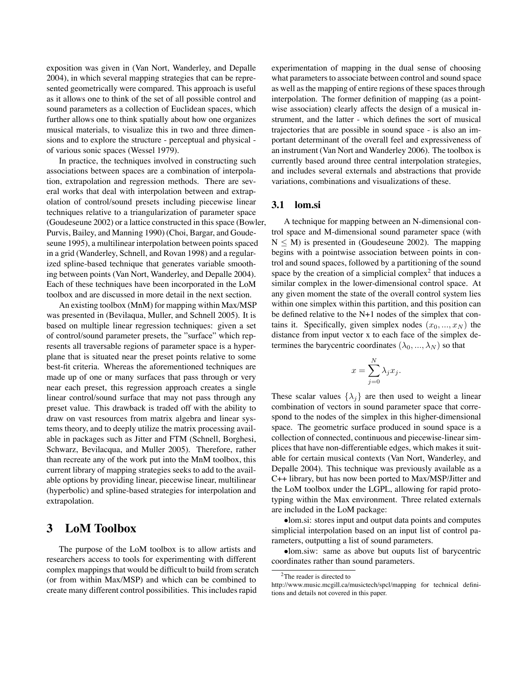exposition was given in (Van Nort, Wanderley, and Depalle 2004), in which several mapping strategies that can be represented geometrically were compared. This approach is useful as it allows one to think of the set of all possible control and sound parameters as a collection of Euclidean spaces, which further allows one to think spatially about how one organizes musical materials, to visualize this in two and three dimensions and to explore the structure - perceptual and physical of various sonic spaces (Wessel 1979).

In practice, the techniques involved in constructing such associations between spaces are a combination of interpolation, extrapolation and regression methods. There are several works that deal with interpolation between and extrapolation of control/sound presets including piecewise linear techniques relative to a triangularization of parameter space (Goudeseune 2002) or a lattice constructed in this space (Bowler, Purvis, Bailey, and Manning 1990) (Choi, Bargar, and Goudeseune 1995), a multilinear interpolation between points spaced in a grid (Wanderley, Schnell, and Rovan 1998) and a regularized spline-based technique that generates variable smoothing between points (Van Nort, Wanderley, and Depalle 2004). Each of these techniques have been incorporated in the LoM toolbox and are discussed in more detail in the next section.

An existing toolbox (MnM) for mapping within Max/MSP was presented in (Bevilaqua, Muller, and Schnell 2005). It is based on multiple linear regression techniques: given a set of control/sound parameter presets, the "surface" which represents all traversable regions of parameter space is a hyperplane that is situated near the preset points relative to some best-fit criteria. Whereas the aforementioned techniques are made up of one or many surfaces that pass through or very near each preset, this regression approach creates a single linear control/sound surface that may not pass through any preset value. This drawback is traded off with the ability to draw on vast resources from matrix algebra and linear systems theory, and to deeply utilize the matrix processing available in packages such as Jitter and FTM (Schnell, Borghesi, Schwarz, Bevilacqua, and Muller 2005). Therefore, rather than recreate any of the work put into the MnM toolbox, this current library of mapping strategies seeks to add to the available options by providing linear, piecewise linear, multilinear (hyperbolic) and spline-based strategies for interpolation and extrapolation.

# **3 LoM Toolbox**

The purpose of the LoM toolbox is to allow artists and researchers access to tools for experimenting with different complex mappings that would be difficult to build from scratch (or from within Max/MSP) and which can be combined to create many different control possibilities. This includes rapid

experimentation of mapping in the dual sense of choosing what parameters to associate between control and sound space as well as the mapping of entire regions of these spaces through interpolation. The former definition of mapping (as a pointwise association) clearly affects the design of a musical instrument, and the latter - which defines the sort of musical trajectories that are possible in sound space - is also an important determinant of the overall feel and expressiveness of an instrument (Van Nort and Wanderley 2006). The toolbox is currently based around three central interpolation strategies, and includes several externals and abstractions that provide variations, combinations and visualizations of these.

#### **3.1 lom.si**

A technique for mapping between an N-dimensional control space and M-dimensional sound parameter space (with  $N \leq M$ ) is presented in (Goudeseune 2002). The mapping begins with a pointwise association between points in control and sound spaces, followed by a partitioning of the sound space by the creation of a simplicial complex<sup>2</sup> that induces a similar complex in the lower-dimensional control space. At any given moment the state of the overall control system lies within one simplex within this partition, and this position can be defined relative to the N+1 nodes of the simplex that contains it. Specifically, given simplex nodes  $(x_0, ..., x_N)$  the distance from input vector x to each face of the simplex determines the barycentric coordinates  $(\lambda_0, ..., \lambda_N)$  so that

$$
x = \sum_{j=0}^{N} \lambda_j x_j.
$$

These scalar values  $\{\lambda_j\}$  are then used to weight a linear combination of vectors in sound parameter space that correspond to the nodes of the simplex in this higher-dimensional space. The geometric surface produced in sound space is a collection of connected, continuous and piecewise-linearsimplices that have non-differentiable edges, which makes it suitable for certain musical contexts (Van Nort, Wanderley, and Depalle 2004). This technique was previously available as a C++ library, but has now been ported to Max/MSP/Jitter and the LoM toolbox under the LGPL, allowing for rapid prototyping within the Max environment. Three related externals are included in the LoM package:

•lom.si: stores input and output data points and computes simplicial interpolation based on an input list of control parameters, outputting a list of sound parameters.

•lom.siw: same as above but ouputs list of barycentric coordinates rather than sound parameters.

<sup>&</sup>lt;sup>2</sup>The reader is directed to

http://www.music.mcgill.ca/musictech/spcl/mapping for technical definitions and details not covered in this paper.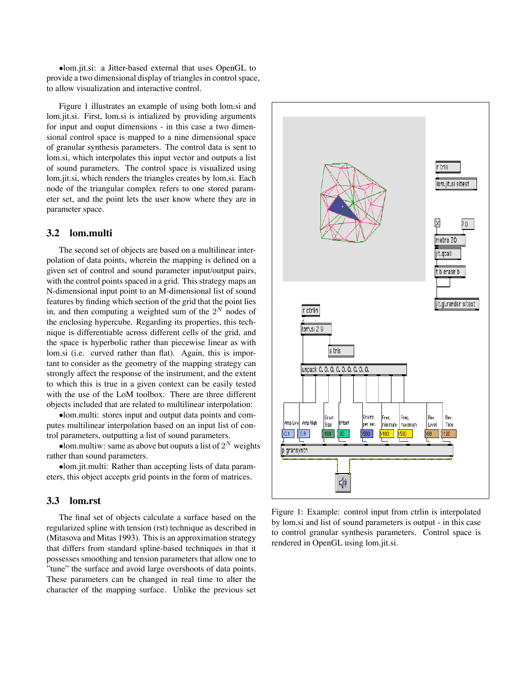•lom.jit.si: a Jitter-based external that uses OpenGL to provide a two dimensional display of triangles in control space, to allow visualization and interactive control.

Figure 1 illustrates an example of using both lom.si and lom.jit.si. First, lom.si is intialized by providing arguments for input and ouput dimensions - in this case a two dimensional control space is mapped to a nine dimensional space of granular synthesis parameters. The control data is sent to lom.si, which interpolates this input vector and outputs a list of sound parameters. The control space is visualized using lom.jit.si, which renders the triangles creates by lom.si. Each node of the triangular complex refers to one stored parameter set, and the point lets the user know where they are in parameter space.

#### **3.2 lom.multi**

The second set of objects are based on a multilinear interpolation of data points, wherein the mapping is defined on a given set of control and sound parameter input/output pairs, with the control points spaced in a grid. This strategy maps an N-dimensional input point to an M-dimensional list of sound features by finding which section of the grid that the point lies in, and then computing a weighted sum of the 2*<sup>N</sup>* nodes of the enclosing hypercube. Regarding its properties, this technique is differentiable across different cells of the grid, and the space is hyperbolic rather than piecewise linear as with lom.si (i.e. curved rather than flat). Again, this is important to consider as the geometry of the mapping strategy can strongly affect the response of the instrument, and the extent to which this is true in a given context can be easily tested with the use of the LoM toolbox. There are three different objects included that are related to multilinear interpolation:

•lom.multi: stores input and output data points and computes multilinear interpolation based on an input list of control parameters, outputting a list of sound parameters.

•lom.multiw: same as above but ouputs a list of  $2^N$  weights rather than sound parameters.

•lom.jit.multi: Rather than accepting lists of data parameters, this object accepts grid points in the form of matrices.

#### **3.3 lom.rst**

The final set of objects calculate a surface based on the regularized spline with tension (rst) technique as described in (Mitasova and Mitas 1993). This is an approximation strategy that differs from standard spline-based techniques in that it possesses smoothing and tension parameters that allow one to "tune" the surface and avoid large overshoots of data points. These parameters can be changed in real time to alter the character of the mapping surface. Unlike the previous set



Figure 1: Example: control input from ctrlin is interpolated by lom.si and list of sound parameters is output - in this case to control granular synthesis parameters. Control space is rendered in OpenGL using lom.jit.si.